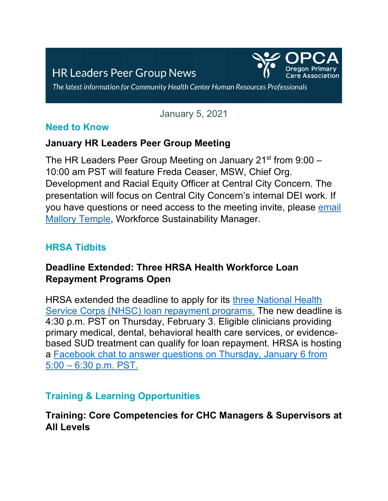# **HR Leaders Peer Group News**



The latest information for Community Health Center Human Resources Professionals

January 5, 2021

#### **Need to Know**

#### **January HR Leaders Peer Group Meeting**

The HR Leaders Peer Group Meeting on January  $21^{st}$  from  $9:00 -$ 10:00 am PST will feature Freda Ceaser, MSW, Chief Org. Development and Racial Equity Officer at Central City Concern. The presentation will focus on Central City Concern's internal DEI work. If you have questions or need access to the meeting invite, please [email](mailto:mtemple@orpca.org)  [Mallory Temple,](mailto:mtemple@orpca.org) Workforce Sustainability Manager.

## **HRSA Tidbits**

## **Deadline Extended: Three HRSA Health Workforce Loan Repayment Programs Open**

HRSA extended the deadline to apply for its [three National Health](https://nhsc.hrsa.gov/loan-repayment/nhsc-all-loan-repayment-programs-comparison)  [Service Corps \(NHSC\) loan repayment programs.](https://nhsc.hrsa.gov/loan-repayment/nhsc-all-loan-repayment-programs-comparison) The new deadline is 4:30 p.m. PST on Thursday, February 3. Eligible clinicians providing primary medical, dental, behavioral health care services, or evidencebased SUD treatment can qualify for loan repayment. HRSA is hosting a [Facebook chat to answer questions on Thursday, January 6 from](https://m.facebook.com/events/909842629659230/)  5:00 – [6:30 p.m. PST.](https://m.facebook.com/events/909842629659230/)

## **Training & Learning Opportunities**

## **Training: Core Competencies for CHC Managers & Supervisors at All Levels**